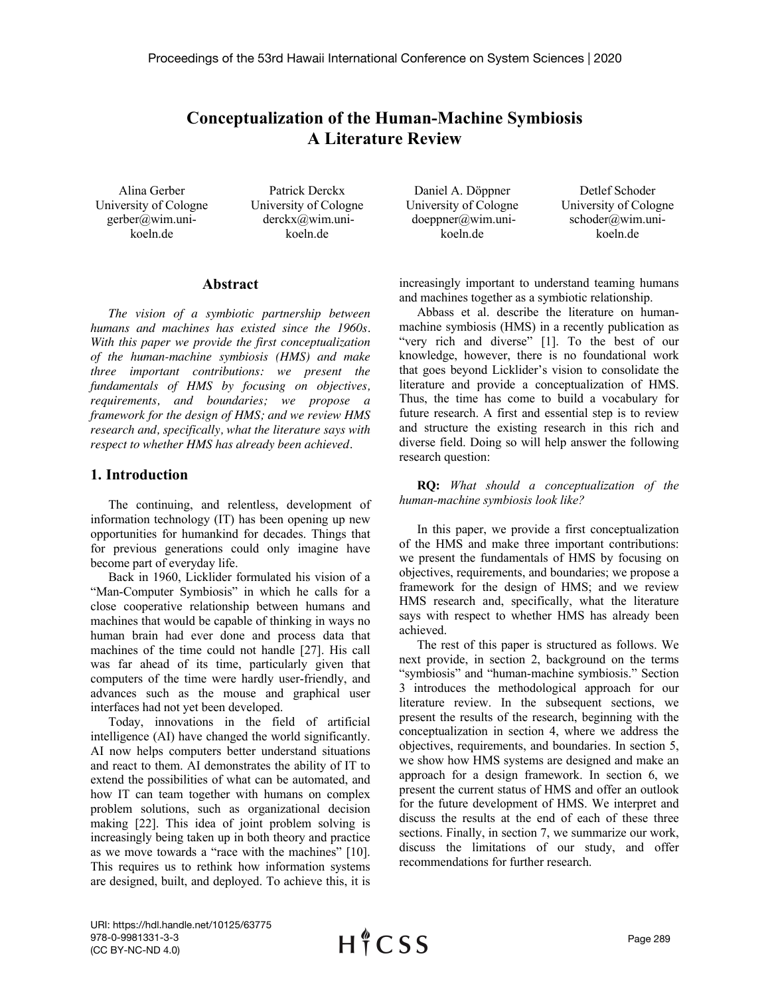# **Conceptualization of the Human-Machine Symbiosis A Literature Review**

Alina Gerber University of Cologne gerber@wim.unikoeln.de

Patrick Derckx University of Cologne derckx@wim.unikoeln.de

#### **Abstract**

*The vision of a symbiotic partnership between humans and machines has existed since the 1960s. With this paper we provide the first conceptualization of the human-machine symbiosis (HMS) and make three important contributions: we present the fundamentals of HMS by focusing on objectives, requirements, and boundaries; we propose a framework for the design of HMS; and we review HMS research and, specifically, what the literature says with respect to whether HMS has already been achieved.*

# **1. Introduction**

The continuing, and relentless, development of information technology (IT) has been opening up new opportunities for humankind for decades. Things that for previous generations could only imagine have become part of everyday life.

Back in 1960, Licklider formulated his vision of a "Man-Computer Symbiosis" in which he calls for a close cooperative relationship between humans and machines that would be capable of thinking in ways no human brain had ever done and process data that machines of the time could not handle [27]. His call was far ahead of its time, particularly given that computers of the time were hardly user-friendly, and advances such as the mouse and graphical user interfaces had not yet been developed.

Today, innovations in the field of artificial intelligence (AI) have changed the world significantly. AI now helps computers better understand situations and react to them. AI demonstrates the ability of IT to extend the possibilities of what can be automated, and how IT can team together with humans on complex problem solutions, such as organizational decision making [22]. This idea of joint problem solving is increasingly being taken up in both theory and practice as we move towards a "race with the machines" [10]. This requires us to rethink how information systems are designed, built, and deployed. To achieve this, it is

Daniel A. Döppner University of Cologne doeppner@wim.unikoeln.de

Detlef Schoder University of Cologne schoder@wim.unikoeln.de

increasingly important to understand teaming humans and machines together as a symbiotic relationship.

Abbass et al. describe the literature on humanmachine symbiosis (HMS) in a recently publication as "very rich and diverse" [1]. To the best of our knowledge, however, there is no foundational work that goes beyond Licklider's vision to consolidate the literature and provide a conceptualization of HMS. Thus, the time has come to build a vocabulary for future research. A first and essential step is to review and structure the existing research in this rich and diverse field. Doing so will help answer the following research question:

**RQ:** *What should a conceptualization of the human-machine symbiosis look like?*

In this paper, we provide a first conceptualization of the HMS and make three important contributions: we present the fundamentals of HMS by focusing on objectives, requirements, and boundaries; we propose a framework for the design of HMS; and we review HMS research and, specifically, what the literature says with respect to whether HMS has already been achieved.

The rest of this paper is structured as follows. We next provide, in section 2, background on the terms "symbiosis" and "human-machine symbiosis." Section 3 introduces the methodological approach for our literature review. In the subsequent sections, we present the results of the research, beginning with the conceptualization in section 4, where we address the objectives, requirements, and boundaries. In section 5, we show how HMS systems are designed and make an approach for a design framework. In section 6, we present the current status of HMS and offer an outlook for the future development of HMS. We interpret and discuss the results at the end of each of these three sections. Finally, in section 7, we summarize our work, discuss the limitations of our study, and offer recommendations for further research.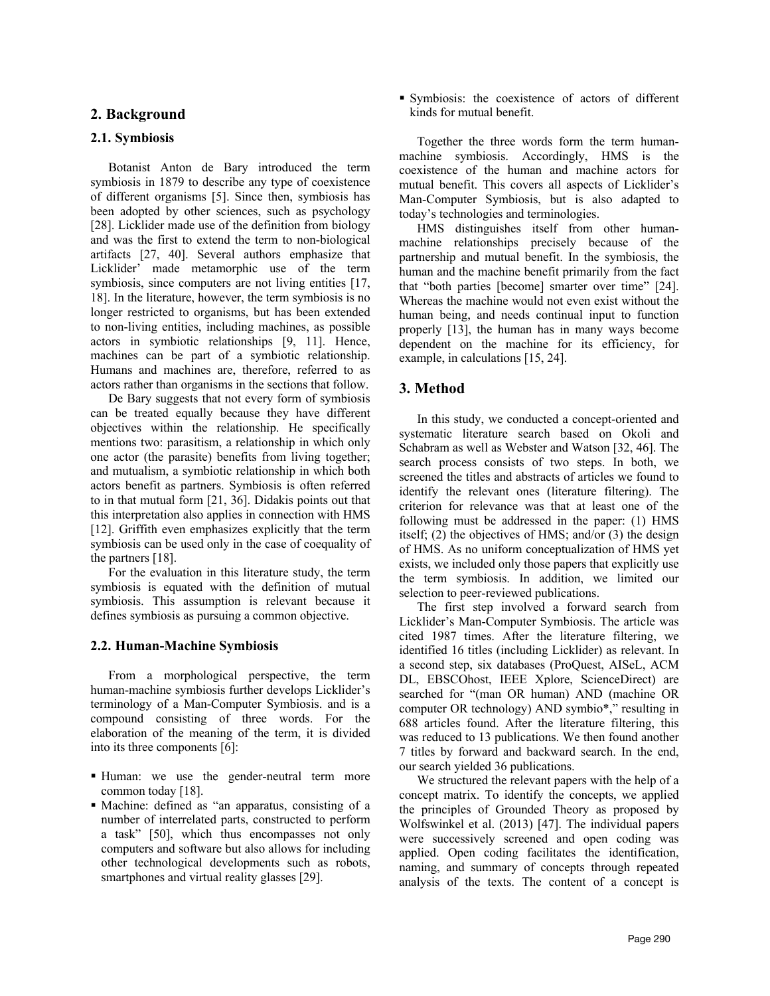# **2. Background**

# **2.1. Symbiosis**

Botanist Anton de Bary introduced the term symbiosis in 1879 to describe any type of coexistence of different organisms [5]. Since then, symbiosis has been adopted by other sciences, such as psychology [28]. Licklider made use of the definition from biology and was the first to extend the term to non-biological artifacts [27, 40]. Several authors emphasize that Licklider' made metamorphic use of the term symbiosis, since computers are not living entities [17, 18]. In the literature, however, the term symbiosis is no longer restricted to organisms, but has been extended to non-living entities, including machines, as possible actors in symbiotic relationships [9, 11]. Hence, machines can be part of a symbiotic relationship. Humans and machines are, therefore, referred to as actors rather than organisms in the sections that follow.

De Bary suggests that not every form of symbiosis can be treated equally because they have different objectives within the relationship. He specifically mentions two: parasitism, a relationship in which only one actor (the parasite) benefits from living together; and mutualism, a symbiotic relationship in which both actors benefit as partners. Symbiosis is often referred to in that mutual form [21, 36]. Didakis points out that this interpretation also applies in connection with HMS [12]. Griffith even emphasizes explicitly that the term symbiosis can be used only in the case of coequality of the partners [18].

For the evaluation in this literature study, the term symbiosis is equated with the definition of mutual symbiosis. This assumption is relevant because it defines symbiosis as pursuing a common objective.

#### **2.2. Human-Machine Symbiosis**

From a morphological perspective, the term human-machine symbiosis further develops Licklider's terminology of a Man-Computer Symbiosis. and is a compound consisting of three words. For the elaboration of the meaning of the term, it is divided into its three components [6]:

- Human: we use the gender-neutral term more common today [18].
- § Machine: defined as "an apparatus, consisting of a number of interrelated parts, constructed to perform a task" [50], which thus encompasses not only computers and software but also allows for including other technological developments such as robots, smartphones and virtual reality glasses [29].

§ Symbiosis: the coexistence of actors of different kinds for mutual benefit.

Together the three words form the term humanmachine symbiosis. Accordingly, HMS is the coexistence of the human and machine actors for mutual benefit. This covers all aspects of Licklider's Man-Computer Symbiosis, but is also adapted to today's technologies and terminologies.

HMS distinguishes itself from other humanmachine relationships precisely because of the partnership and mutual benefit. In the symbiosis, the human and the machine benefit primarily from the fact that "both parties [become] smarter over time" [24]. Whereas the machine would not even exist without the human being, and needs continual input to function properly [13], the human has in many ways become dependent on the machine for its efficiency, for example, in calculations [15, 24].

# **3. Method**

In this study, we conducted a concept-oriented and systematic literature search based on Okoli and Schabram as well as Webster and Watson [32, 46]. The search process consists of two steps. In both, we screened the titles and abstracts of articles we found to identify the relevant ones (literature filtering). The criterion for relevance was that at least one of the following must be addressed in the paper: (1) HMS itself; (2) the objectives of HMS; and/or (3) the design of HMS. As no uniform conceptualization of HMS yet exists, we included only those papers that explicitly use the term symbiosis. In addition, we limited our selection to peer-reviewed publications.

The first step involved a forward search from Licklider's Man-Computer Symbiosis. The article was cited 1987 times. After the literature filtering, we identified 16 titles (including Licklider) as relevant. In a second step, six databases (ProQuest, AISeL, ACM DL, EBSCOhost, IEEE Xplore, ScienceDirect) are searched for "(man OR human) AND (machine OR computer OR technology) AND symbio\*," resulting in 688 articles found. After the literature filtering, this was reduced to 13 publications. We then found another 7 titles by forward and backward search. In the end, our search yielded 36 publications.

We structured the relevant papers with the help of a concept matrix. To identify the concepts, we applied the principles of Grounded Theory as proposed by Wolfswinkel et al. (2013) [47]. The individual papers were successively screened and open coding was applied. Open coding facilitates the identification, naming, and summary of concepts through repeated analysis of the texts. The content of a concept is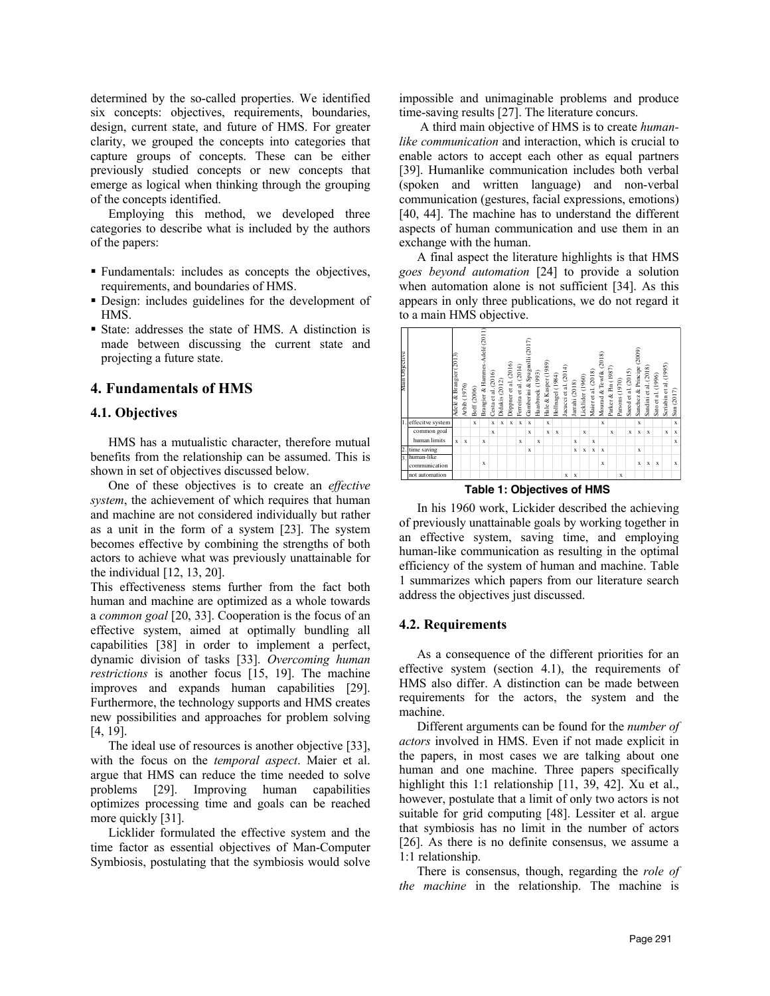determined by the so-called properties. We identified six concepts: objectives, requirements, boundaries, design, current state, and future of HMS. For greater clarity, we grouped the concepts into categories that capture groups of concepts. These can be either previously studied concepts or new concepts that emerge as logical when thinking through the grouping of the concepts identified.

Employing this method, we developed three categories to describe what is included by the authors of the papers:

- § Fundamentals: includes as concepts the objectives, requirements, and boundaries of HMS.
- § Design: includes guidelines for the development of HMS.
- § State: addresses the state of HMS. A distinction is made between discussing the current state and projecting a future state.

# **4. Fundamentals of HMS**

#### **4.1. Objectives**

HMS has a mutualistic character, therefore mutual benefits from the relationship can be assumed. This is shown in set of objectives discussed below.

One of these objectives is to create an *effective system*, the achievement of which requires that human and machine are not considered individually but rather as a unit in the form of a system [23]. The system becomes effective by combining the strengths of both actors to achieve what was previously unattainable for the individual [12, 13, 20].

This effectiveness stems further from the fact both human and machine are optimized as a whole towards a *common goal* [20, 33]. Cooperation is the focus of an effective system, aimed at optimally bundling all capabilities [38] in order to implement a perfect, dynamic division of tasks [33]. *Overcoming human restrictions* is another focus [15, 19]. The machine improves and expands human capabilities [29]. Furthermore, the technology supports and HMS creates new possibilities and approaches for problem solving [4, 19].

The ideal use of resources is another objective [33], with the focus on the *temporal aspect*. Maier et al. argue that HMS can reduce the time needed to solve problems [29]. Improving human capabilities optimizes processing time and goals can be reached more quickly [31].

Licklider formulated the effective system and the time factor as essential objectives of Man-Computer Symbiosis, postulating that the symbiosis would solve impossible and unimaginable problems and produce time-saving results [27]. The literature concurs.

A third main objective of HMS is to create *humanlike communication* and interaction, which is crucial to enable actors to accept each other as equal partners [39]. Humanlike communication includes both verbal (spoken and written language) and non-verbal communication (gestures, facial expressions, emotions) [40, 44]. The machine has to understand the different aspects of human communication and use them in an exchange with the human.

A final aspect the literature highlights is that HMS *goes beyond automation* [24] to provide a solution when automation alone is not sufficient [34]. As this appears in only three publications, we do not regard it to a main HMS objective.

| Main Objective |                             | Adelé & Brangier (2013) | Arbib (1976) | Boff (2006) | Brangier & Hammes-Adelé (2011) | Cesta et al. (2016) | Didakis (2012) | Döppner et al. (2016) | Ferreira et al. (2014) | Gamberini & Spagnolli (2017) | Haasbroek (1993) | Hale & Kasper (1989) | Hollnagel (1984) | Jacucci et al. (2014) | Jarrahi (2018) | Licklider (1960) | Maier et al. (2018) | Mourad & Tewfik (2018) | Parker & Pin (1987) | Parsons (1970) | Saeed et al. (2015) | Sanchez & Principe (2009) | Sandini et al. (2018) | Sato et al. (1996) | Scriabin et al. (1995) | $\text{Sun} (2017)$ |
|----------------|-----------------------------|-------------------------|--------------|-------------|--------------------------------|---------------------|----------------|-----------------------|------------------------|------------------------------|------------------|----------------------|------------------|-----------------------|----------------|------------------|---------------------|------------------------|---------------------|----------------|---------------------|---------------------------|-----------------------|--------------------|------------------------|---------------------|
|                | effecitve system            |                         |              | $\mathbf x$ |                                | $\mathbf x$         | $\mathbf x$    | $\mathbf x$           | $\mathbf x$            | $\mathbf x$                  |                  | x                    |                  |                       |                |                  |                     | $\mathbf x$            |                     |                |                     | x                         |                       |                    |                        | $\mathbf x$         |
|                | common goal                 |                         |              |             |                                | x                   |                |                       |                        | $\mathbf x$                  |                  | $\mathbf x$          | $\mathbf x$      |                       |                | $\mathbf x$      |                     |                        | $\mathbf x$         |                | $\mathbf x$         | $\mathbf x$               | $\bf{x}$              |                    | $\mathbf x$            | x                   |
|                | human limits                | $\mathbf{x}$            | $\mathbf x$  |             | x                              |                     |                |                       | $\mathbf x$            |                              | x                |                      |                  |                       | x              |                  | $\mathbf x$         |                        |                     |                |                     |                           |                       |                    |                        | $\mathbf x$         |
|                | time saving                 |                         |              |             |                                |                     |                |                       |                        | X                            |                  |                      |                  |                       | x              | $\mathbf x$      | $\mathbf x$         | $\mathbf x$            |                     |                |                     | $\mathbf x$               |                       |                    |                        |                     |
| 3              | human-like<br>communication |                         |              |             | $\mathbf x$                    |                     |                |                       |                        |                              |                  |                      |                  |                       |                |                  |                     | $\mathbf x$            |                     |                |                     | $\mathbf x$               | $\bf{x}$              | $\mathbf x$        |                        | x                   |
|                | not automation              |                         |              |             |                                |                     |                |                       |                        |                              |                  |                      |                  | x                     | $\mathbf x$    |                  |                     |                        |                     | x              |                     |                           |                       |                    |                        |                     |

**Table 1: Objectives of HMS**

In his 1960 work, Lickider described the achieving of previously unattainable goals by working together in an effective system, saving time, and employing human-like communication as resulting in the optimal efficiency of the system of human and machine. Table 1 summarizes which papers from our literature search address the objectives just discussed.

#### **4.2. Requirements**

As a consequence of the different priorities for an effective system (section 4.1), the requirements of HMS also differ. A distinction can be made between requirements for the actors, the system and the machine.

Different arguments can be found for the *number of actors* involved in HMS. Even if not made explicit in the papers, in most cases we are talking about one human and one machine. Three papers specifically highlight this 1:1 relationship [11, 39, 42]. Xu et al., however, postulate that a limit of only two actors is not suitable for grid computing [48]. Lessiter et al. argue that symbiosis has no limit in the number of actors [26]. As there is no definite consensus, we assume a 1:1 relationship.

There is consensus, though, regarding the *role of the machine* in the relationship. The machine is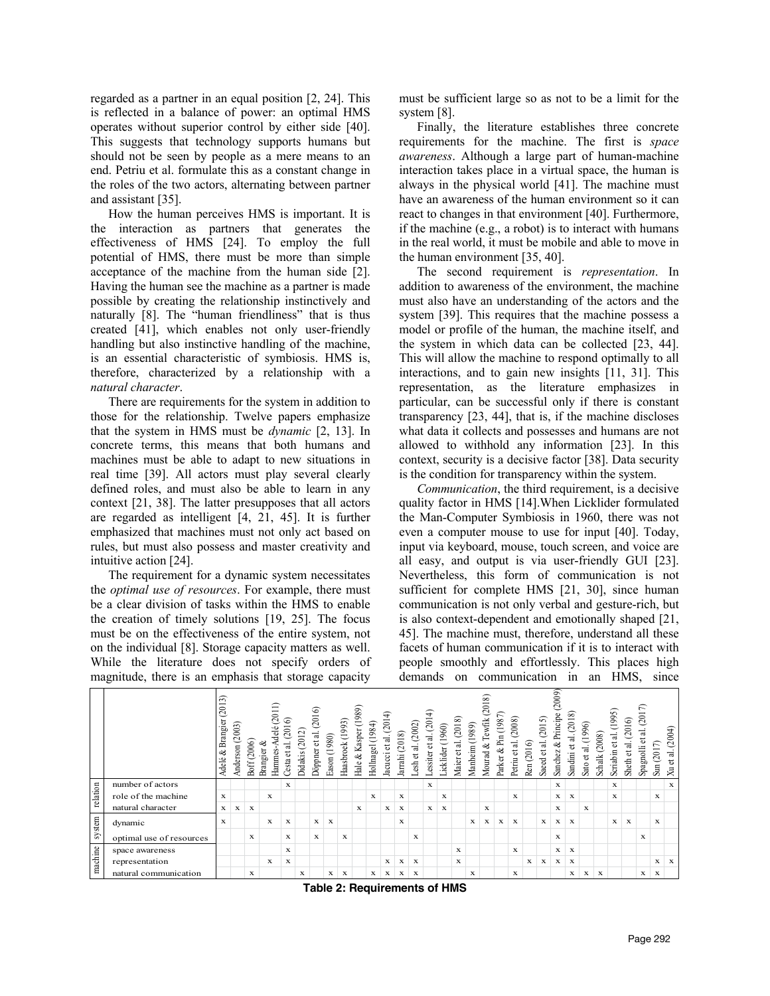regarded as a partner in an equal position [2, 24]. This is reflected in a balance of power: an optimal HMS operates without superior control by either side [40]. This suggests that technology supports humans but should not be seen by people as a mere means to an end. Petriu et al. formulate this as a constant change in the roles of the two actors, alternating between partner and assistant [35].

How the human perceives HMS is important. It is the interaction as partners that generates the effectiveness of HMS [24]. To employ the full potential of HMS, there must be more than simple acceptance of the machine from the human side [2]. Having the human see the machine as a partner is made possible by creating the relationship instinctively and naturally [8]. The "human friendliness" that is thus created [41], which enables not only user-friendly handling but also instinctive handling of the machine, is an essential characteristic of symbiosis. HMS is, therefore, characterized by a relationship with a *natural character*.

There are requirements for the system in addition to those for the relationship. Twelve papers emphasize that the system in HMS must be *dynamic* [2, 13]. In concrete terms, this means that both humans and machines must be able to adapt to new situations in real time [39]. All actors must play several clearly defined roles, and must also be able to learn in any context [21, 38]. The latter presupposes that all actors are regarded as intelligent [4, 21, 45]. It is further emphasized that machines must not only act based on rules, but must also possess and master creativity and intuitive action [24].

The requirement for a dynamic system necessitates the *optimal use of resources*. For example, there must be a clear division of tasks within the HMS to enable the creation of timely solutions [19, 25]. The focus must be on the effectiveness of the entire system, not on the individual [8]. Storage capacity matters as well. While the literature does not specify orders of magnitude, there is an emphasis that storage capacity

must be sufficient large so as not to be a limit for the system [8].

Finally, the literature establishes three concrete requirements for the machine. The first is *space awareness*. Although a large part of human-machine interaction takes place in a virtual space, the human is always in the physical world [41]. The machine must have an awareness of the human environment so it can react to changes in that environment [40]. Furthermore, if the machine (e.g., a robot) is to interact with humans in the real world, it must be mobile and able to move in the human environment [35, 40].

The second requirement is *representation*. In addition to awareness of the environment, the machine must also have an understanding of the actors and the system [39]. This requires that the machine possess a model or profile of the human, the machine itself, and the system in which data can be collected [23, 44]. This will allow the machine to respond optimally to all interactions, and to gain new insights [11, 31]. This representation, as the literature emphasizes in particular, can be successful only if there is constant transparency [23, 44], that is, if the machine discloses what data it collects and possesses and humans are not allowed to withhold any information [23]. In this context, security is a decisive factor [38]. Data security is the condition for transparency within the system.

*Communication*, the third requirement, is a decisive quality factor in HMS [14].When Licklider formulated the Man-Computer Symbiosis in 1960, there was not even a computer mouse to use for input [40]. Today, input via keyboard, mouse, touch screen, and voice are all easy, and output is via user-friendly GUI [23]. Nevertheless, this form of communication is not sufficient for complete HMS [21, 30], since human communication is not only verbal and gesture-rich, but is also context-dependent and emotionally shaped [21, 45]. The machine must, therefore, understand all these facets of human communication if it is to interact with people smoothly and effortlessly. This places high demands on communication in an HMS, since

|          |                          | $\sim$<br>201<br>Brangier<br>ళ<br>Adelé | (2003)<br>Anderson | Boff (2006) | (2011)<br>delé<br>ళ<br>Brangier<br>Hammes- | ଚ<br>(201)<br>Cesta et al. | (2012)<br>Didakis | (2016)<br>et al.<br>Döppner | (1980)<br>Eason | Haasbrock (1993) | 89)<br>& Kasper (19<br>Hale. | (1984)<br>Hollnagel | ډ<br>$\frac{1}{2}$<br>ವ.<br>đ<br>acucci | (2018)<br>Jarrahi | (2002)<br>esh et al. | ╤<br>al. (20)<br><b>Lessiter</b> et | (1960)<br><b>Licklider</b> | S)<br>(201)<br>ಸ<br>ಕ<br>Maier | (1989)<br>Manheim ( | (2018)<br>Tewfik<br>Mourad & | Parker & Pin (1987) | (2008)<br>$\ddot{a}$<br>ಕ<br>Petriu | (2016)<br>Ren | (2015)<br>ਜ਼<br>ಕ<br>Saeed | (2009)<br>Principe<br>శ<br>Sanchez | et al. (2018)<br>Sandini | (1996)<br>ಸ<br>đ<br>Sato | (2008)<br>Schalk | (1995)<br>et al.<br>Scriabin | Sheth et al. (2016) | et al. (2017)<br>Spagnolli | Ļ<br>201<br>Sun | (2004)<br>ಷ<br>đ<br>Ř, |
|----------|--------------------------|-----------------------------------------|--------------------|-------------|--------------------------------------------|----------------------------|-------------------|-----------------------------|-----------------|------------------|------------------------------|---------------------|-----------------------------------------|-------------------|----------------------|-------------------------------------|----------------------------|--------------------------------|---------------------|------------------------------|---------------------|-------------------------------------|---------------|----------------------------|------------------------------------|--------------------------|--------------------------|------------------|------------------------------|---------------------|----------------------------|-----------------|------------------------|
|          | number of actors         |                                         |                    |             |                                            | X                          |                   |                             |                 |                  |                              |                     |                                         |                   |                      | $\mathbf x$                         |                            |                                |                     |                              |                     |                                     |               |                            | x                                  |                          |                          |                  | X                            |                     |                            |                 | $\mathbf x$            |
| relation | role of the machine      | $\mathbf{x}$                            |                    |             | $\mathbf{x}$                               |                            |                   |                             |                 |                  |                              | $\mathbf x$         |                                         | $\mathbf x$       |                      |                                     | X                          |                                |                     |                              |                     | X                                   |               |                            | x                                  | $\mathbf x$              |                          |                  | $\mathbf x$                  |                     |                            | x               |                        |
|          | natural character        | X                                       | x                  | $\mathbf x$ |                                            |                            |                   |                             |                 |                  | $\mathbf{x}$                 |                     | x                                       | X                 |                      | x                                   | X                          |                                |                     | X                            |                     |                                     |               |                            | $\mathbf x$                        |                          | x                        |                  |                              |                     |                            |                 |                        |
| system   | dynamic                  | $\mathbf x$                             |                    |             | X                                          | $\mathbf x$                |                   | $\mathbf{x}$                | $\mathbf x$     |                  |                              |                     |                                         | x                 |                      |                                     |                            |                                | $\mathbf x$         | x                            | x                   | $\mathbf x$                         |               | $\mathbf x$                | x                                  | $\mathbf x$              |                          |                  | x                            | $\mathbf x$         |                            | x               |                        |
|          | optimal use of resources |                                         |                    | $\mathbf x$ |                                            | X                          |                   | $\mathbf x$                 |                 | $\mathbf x$      |                              |                     |                                         |                   | $\mathbf x$          |                                     |                            |                                |                     |                              |                     |                                     |               |                            | $\mathbf x$                        |                          |                          |                  |                              |                     | $\mathbf x$                |                 |                        |
|          | space awareness          |                                         |                    |             |                                            | X                          |                   |                             |                 |                  |                              |                     |                                         |                   |                      |                                     |                            | X                              |                     |                              |                     | $\mathbf x$                         |               |                            | x                                  | $\mathbf x$              |                          |                  |                              |                     |                            |                 |                        |
| machine  | representation           |                                         |                    |             | X                                          | x                          |                   |                             |                 |                  |                              |                     | х                                       | x                 | x                    |                                     |                            | X                              |                     |                              |                     |                                     | X             | x                          | x                                  | x                        |                          |                  |                              |                     |                            | $\mathbf{x}$    | $\mathbf{x}$           |
|          | natural communication    |                                         |                    | x           |                                            |                            | x                 |                             | x               | x                |                              | x                   | x                                       | x                 | x                    |                                     |                            |                                | X                   |                              |                     | x                                   |               |                            |                                    | x                        | x                        | x                |                              |                     | x                          | x               |                        |

**Table 2: Requirements of HMS**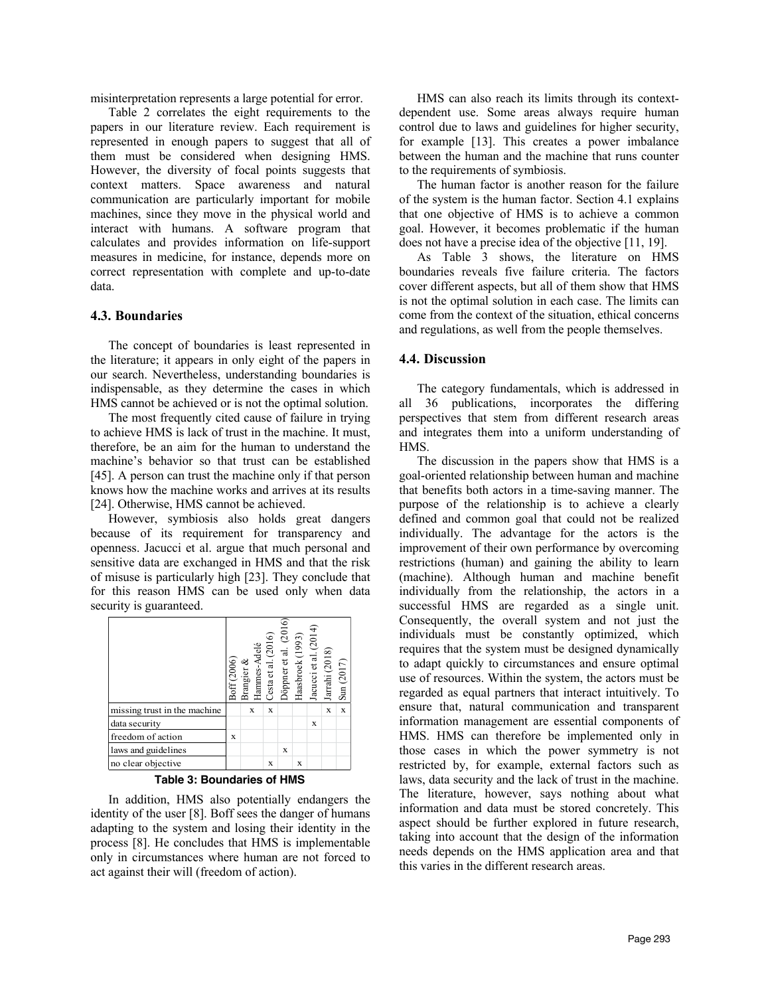misinterpretation represents a large potential for error.

Table 2 correlates the eight requirements to the papers in our literature review. Each requirement is represented in enough papers to suggest that all of them must be considered when designing HMS. However, the diversity of focal points suggests that context matters. Space awareness and natural communication are particularly important for mobile machines, since they move in the physical world and interact with humans. A software program that calculates and provides information on life-support measures in medicine, for instance, depends more on correct representation with complete and up-to-date data.

# **4.3. Boundaries**

The concept of boundaries is least represented in the literature; it appears in only eight of the papers in our search. Nevertheless, understanding boundaries is indispensable, as they determine the cases in which HMS cannot be achieved or is not the optimal solution.

The most frequently cited cause of failure in trying to achieve HMS is lack of trust in the machine. It must, therefore, be an aim for the human to understand the machine's behavior so that trust can be established [45]. A person can trust the machine only if that person knows how the machine works and arrives at its results [24]. Otherwise, HMS cannot be achieved.

However, symbiosis also holds great dangers because of its requirement for transparency and openness. Jacucci et al. argue that much personal and sensitive data are exchanged in HMS and that the risk of misuse is particularly high [23]. They conclude that for this reason HMS can be used only when data security is guaranteed.

|                              | Boff (2006) | Brangier & | Hammes-Adelé | Cesta et al. (2016) | Döppner et al. (2016) | Haasbroek (1993) | Jacucci et al. (2014) | Jarrahi $(2018)$ | Sun (2017)  |
|------------------------------|-------------|------------|--------------|---------------------|-----------------------|------------------|-----------------------|------------------|-------------|
| missing trust in the machine |             | X          |              | X                   |                       |                  |                       | X                | $\mathbf x$ |
| data security                |             |            |              |                     |                       |                  | X                     |                  |             |
| freedom of action            | X           |            |              |                     |                       |                  |                       |                  |             |
| laws and guidelines          |             |            |              |                     | X                     |                  |                       |                  |             |
| no clear objective           |             |            |              | X                   |                       | X                |                       |                  |             |

**Table 3: Boundaries of HMS**

In addition, HMS also potentially endangers the identity of the user [8]. Boff sees the danger of humans adapting to the system and losing their identity in the process [8]. He concludes that HMS is implementable only in circumstances where human are not forced to act against their will (freedom of action).

HMS can also reach its limits through its contextdependent use. Some areas always require human control due to laws and guidelines for higher security, for example [13]. This creates a power imbalance between the human and the machine that runs counter to the requirements of symbiosis.

The human factor is another reason for the failure of the system is the human factor. Section 4.1 explains that one objective of HMS is to achieve a common goal. However, it becomes problematic if the human does not have a precise idea of the objective [11, 19].

As Table 3 shows, the literature on HMS boundaries reveals five failure criteria. The factors cover different aspects, but all of them show that HMS is not the optimal solution in each case. The limits can come from the context of the situation, ethical concerns and regulations, as well from the people themselves.

## **4.4. Discussion**

The category fundamentals, which is addressed in all 36 publications, incorporates the differing perspectives that stem from different research areas and integrates them into a uniform understanding of HMS.

The discussion in the papers show that HMS is a goal-oriented relationship between human and machine that benefits both actors in a time-saving manner. The purpose of the relationship is to achieve a clearly defined and common goal that could not be realized individually. The advantage for the actors is the improvement of their own performance by overcoming restrictions (human) and gaining the ability to learn (machine). Although human and machine benefit individually from the relationship, the actors in a successful HMS are regarded as a single unit. Consequently, the overall system and not just the individuals must be constantly optimized, which requires that the system must be designed dynamically to adapt quickly to circumstances and ensure optimal use of resources. Within the system, the actors must be regarded as equal partners that interact intuitively. To ensure that, natural communication and transparent information management are essential components of HMS. HMS can therefore be implemented only in those cases in which the power symmetry is not restricted by, for example, external factors such as laws, data security and the lack of trust in the machine. The literature, however, says nothing about what information and data must be stored concretely. This aspect should be further explored in future research, taking into account that the design of the information needs depends on the HMS application area and that this varies in the different research areas.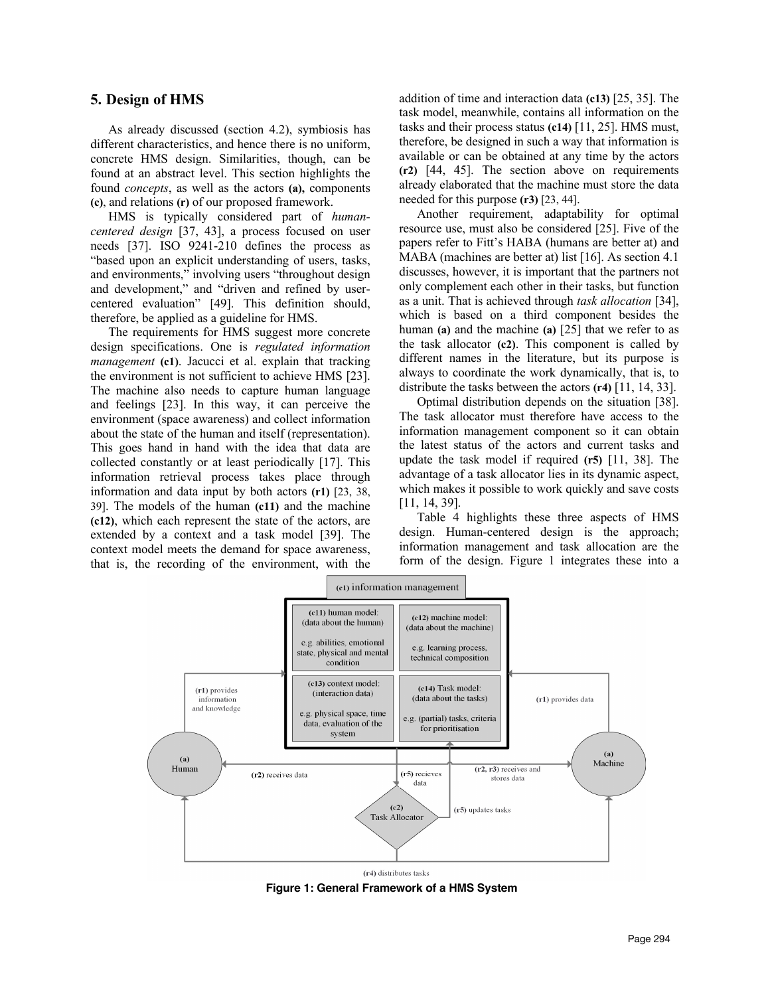# **5. Design of HMS**

As already discussed (section 4.2), symbiosis has different characteristics, and hence there is no uniform, concrete HMS design. Similarities, though, can be found at an abstract level. This section highlights the found *concepts*, as well as the actors **(a),** components **(c)**, and relations **(r)** of our proposed framework.

HMS is typically considered part of *humancentered design* [37, 43], a process focused on user needs [37]. ISO 9241-210 defines the process as "based upon an explicit understanding of users, tasks, and environments," involving users "throughout design and development," and "driven and refined by usercentered evaluation" [49]. This definition should, therefore, be applied as a guideline for HMS.

The requirements for HMS suggest more concrete design specifications. One is *regulated information management* **(c1)**. Jacucci et al. explain that tracking the environment is not sufficient to achieve HMS [23]. The machine also needs to capture human language and feelings [23]. In this way, it can perceive the environment (space awareness) and collect information about the state of the human and itself (representation). This goes hand in hand with the idea that data are collected constantly or at least periodically [17]. This information retrieval process takes place through information and data input by both actors **(r1)** [23, 38, 39]. The models of the human **(c11)** and the machine **(c12)**, which each represent the state of the actors, are extended by a context and a task model [39]. The context model meets the demand for space awareness, that is, the recording of the environment, with the

addition of time and interaction data **(c13)** [25, 35]. The task model, meanwhile, contains all information on the tasks and their process status **(c14)** [11, 25]. HMS must, therefore, be designed in such a way that information is available or can be obtained at any time by the actors **(r2)** [44, 45]. The section above on requirements already elaborated that the machine must store the data needed for this purpose **(r3)** [23, 44].

Another requirement, adaptability for optimal resource use, must also be considered [25]. Five of the papers refer to Fitt's HABA (humans are better at) and MABA (machines are better at) list [16]. As section 4.1 discusses, however, it is important that the partners not only complement each other in their tasks, but function as a unit. That is achieved through *task allocation* [34], which is based on a third component besides the human **(a)** and the machine **(a)** [25] that we refer to as the task allocator **(c2)**. This component is called by different names in the literature, but its purpose is always to coordinate the work dynamically, that is, to distribute the tasks between the actors **(r4)** [11, 14, 33].

Optimal distribution depends on the situation [38]. The task allocator must therefore have access to the information management component so it can obtain the latest status of the actors and current tasks and update the task model if required **(r5)** [11, 38]. The advantage of a task allocator lies in its dynamic aspect, which makes it possible to work quickly and save costs [11, 14, 39].

Table 4 highlights these three aspects of HMS design. Human-centered design is the approach; information management and task allocation are the form of the design. Figure 1 integrates these into a



**Figure 1: General Framework of a HMS System**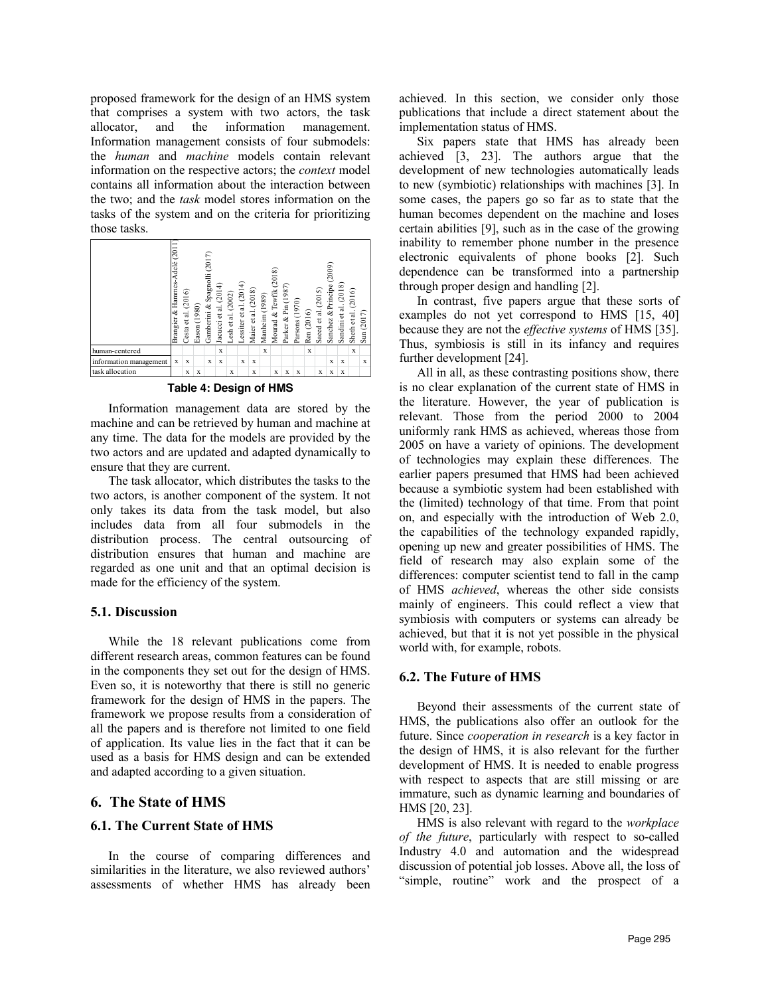proposed framework for the design of an HMS system that comprises a system with two actors, the task allocator, and the information management. Information management consists of four submodels: the *human* and *machine* models contain relevant information on the respective actors; the *context* model contains all information about the interaction between the two; and the *task* model stores information on the tasks of the system and on the criteria for prioritizing those tasks.



#### **Table 4: Design of HMS**

Information management data are stored by the machine and can be retrieved by human and machine at any time. The data for the models are provided by the two actors and are updated and adapted dynamically to ensure that they are current.

The task allocator, which distributes the tasks to the two actors, is another component of the system. It not only takes its data from the task model, but also includes data from all four submodels in the distribution process. The central outsourcing of distribution ensures that human and machine are regarded as one unit and that an optimal decision is made for the efficiency of the system.

## **5.1. Discussion**

While the 18 relevant publications come from different research areas, common features can be found in the components they set out for the design of HMS. Even so, it is noteworthy that there is still no generic framework for the design of HMS in the papers. The framework we propose results from a consideration of all the papers and is therefore not limited to one field of application. Its value lies in the fact that it can be used as a basis for HMS design and can be extended and adapted according to a given situation.

# **6. The State of HMS**

#### **6.1. The Current State of HMS**

In the course of comparing differences and similarities in the literature, we also reviewed authors' assessments of whether HMS has already been achieved. In this section, we consider only those publications that include a direct statement about the implementation status of HMS.

Six papers state that HMS has already been achieved [3, 23]. The authors argue that the development of new technologies automatically leads to new (symbiotic) relationships with machines [3]. In some cases, the papers go so far as to state that the human becomes dependent on the machine and loses certain abilities [9], such as in the case of the growing inability to remember phone number in the presence electronic equivalents of phone books [2]. Such dependence can be transformed into a partnership through proper design and handling [2].

In contrast, five papers argue that these sorts of examples do not yet correspond to HMS [15, 40] because they are not the *effective systems* of HMS [35]. Thus, symbiosis is still in its infancy and requires further development [24].

All in all, as these contrasting positions show, there is no clear explanation of the current state of HMS in the literature. However, the year of publication is relevant. Those from the period 2000 to 2004 uniformly rank HMS as achieved, whereas those from 2005 on have a variety of opinions. The development of technologies may explain these differences. The earlier papers presumed that HMS had been achieved because a symbiotic system had been established with the (limited) technology of that time. From that point on, and especially with the introduction of Web 2.0, the capabilities of the technology expanded rapidly, opening up new and greater possibilities of HMS. The field of research may also explain some of the differences: computer scientist tend to fall in the camp of HMS *achieved*, whereas the other side consists mainly of engineers. This could reflect a view that symbiosis with computers or systems can already be achieved, but that it is not yet possible in the physical world with, for example, robots.

#### **6.2. The Future of HMS**

Beyond their assessments of the current state of HMS, the publications also offer an outlook for the future. Since *cooperation in research* is a key factor in the design of HMS, it is also relevant for the further development of HMS. It is needed to enable progress with respect to aspects that are still missing or are immature, such as dynamic learning and boundaries of HMS [20, 23].

HMS is also relevant with regard to the *workplace of the future*, particularly with respect to so-called Industry 4.0 and automation and the widespread discussion of potential job losses. Above all, the loss of "simple, routine" work and the prospect of a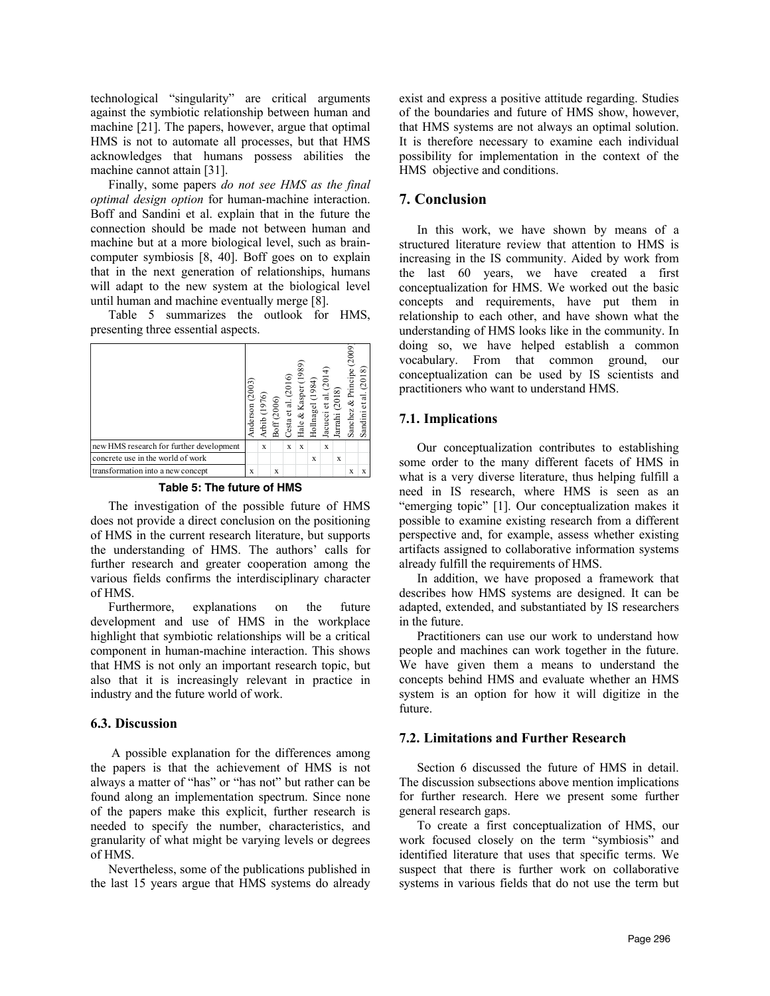technological "singularity" are critical arguments against the symbiotic relationship between human and machine [21]. The papers, however, argue that optimal HMS is not to automate all processes, but that HMS acknowledges that humans possess abilities the machine cannot attain [31].

Finally, some papers *do not see HMS as the final optimal design option* for human-machine interaction. Boff and Sandini et al. explain that in the future the connection should be made not between human and machine but at a more biological level, such as braincomputer symbiosis [8, 40]. Boff goes on to explain that in the next generation of relationships, humans will adapt to the new system at the biological level until human and machine eventually merge [8].

Table 5 summarizes the outlook for HMS, presenting three essential aspects.

|                                          | Anderson (2003) | Arbib (1976) | Boff(2006) | Cesta et al. $(2016)$ | Hale & Kasper (1989) | Hollnagel (1984) | Jacucci et al. (2014) | Jarrahi (2018) | Sanchez & Principe (2009) | Sandini et al. (2018) |
|------------------------------------------|-----------------|--------------|------------|-----------------------|----------------------|------------------|-----------------------|----------------|---------------------------|-----------------------|
| new HMS research for further development |                 | X            |            | X                     | X                    |                  | X                     |                |                           |                       |
| concrete use in the world of work        |                 |              |            |                       |                      | X                |                       | X              |                           |                       |
| transformation into a new concept        | X               |              | X          |                       |                      |                  |                       |                | X                         | X                     |

The investigation of the possible future of HMS does not provide a direct conclusion on the positioning of HMS in the current research literature, but supports the understanding of HMS. The authors' calls for further research and greater cooperation among the various fields confirms the interdisciplinary character of HMS.

Furthermore, explanations on the future development and use of HMS in the workplace highlight that symbiotic relationships will be a critical component in human-machine interaction. This shows that HMS is not only an important research topic, but also that it is increasingly relevant in practice in industry and the future world of work.

#### **6.3. Discussion**

A possible explanation for the differences among the papers is that the achievement of HMS is not always a matter of "has" or "has not" but rather can be found along an implementation spectrum. Since none of the papers make this explicit, further research is needed to specify the number, characteristics, and granularity of what might be varying levels or degrees of HMS.

Nevertheless, some of the publications published in the last 15 years argue that HMS systems do already

exist and express a positive attitude regarding. Studies of the boundaries and future of HMS show, however, that HMS systems are not always an optimal solution. It is therefore necessary to examine each individual possibility for implementation in the context of the HMS objective and conditions.

# **7. Conclusion**

In this work, we have shown by means of a structured literature review that attention to HMS is increasing in the IS community. Aided by work from the last 60 years, we have created a first conceptualization for HMS. We worked out the basic concepts and requirements, have put them in relationship to each other, and have shown what the understanding of HMS looks like in the community. In doing so, we have helped establish a common vocabulary. From that common ground, our conceptualization can be used by IS scientists and practitioners who want to understand HMS.

#### **7.1. Implications**

Our conceptualization contributes to establishing some order to the many different facets of HMS in what is a very diverse literature, thus helping fulfill a need in IS research, where HMS is seen as an "emerging topic" [1]. Our conceptualization makes it possible to examine existing research from a different perspective and, for example, assess whether existing artifacts assigned to collaborative information systems already fulfill the requirements of HMS.

In addition, we have proposed a framework that describes how HMS systems are designed. It can be adapted, extended, and substantiated by IS researchers in the future.

Practitioners can use our work to understand how people and machines can work together in the future. We have given them a means to understand the concepts behind HMS and evaluate whether an HMS system is an option for how it will digitize in the future.

#### **7.2. Limitations and Further Research**

Section 6 discussed the future of HMS in detail. The discussion subsections above mention implications for further research. Here we present some further general research gaps.

To create a first conceptualization of HMS, our work focused closely on the term "symbiosis" and identified literature that uses that specific terms. We suspect that there is further work on collaborative systems in various fields that do not use the term but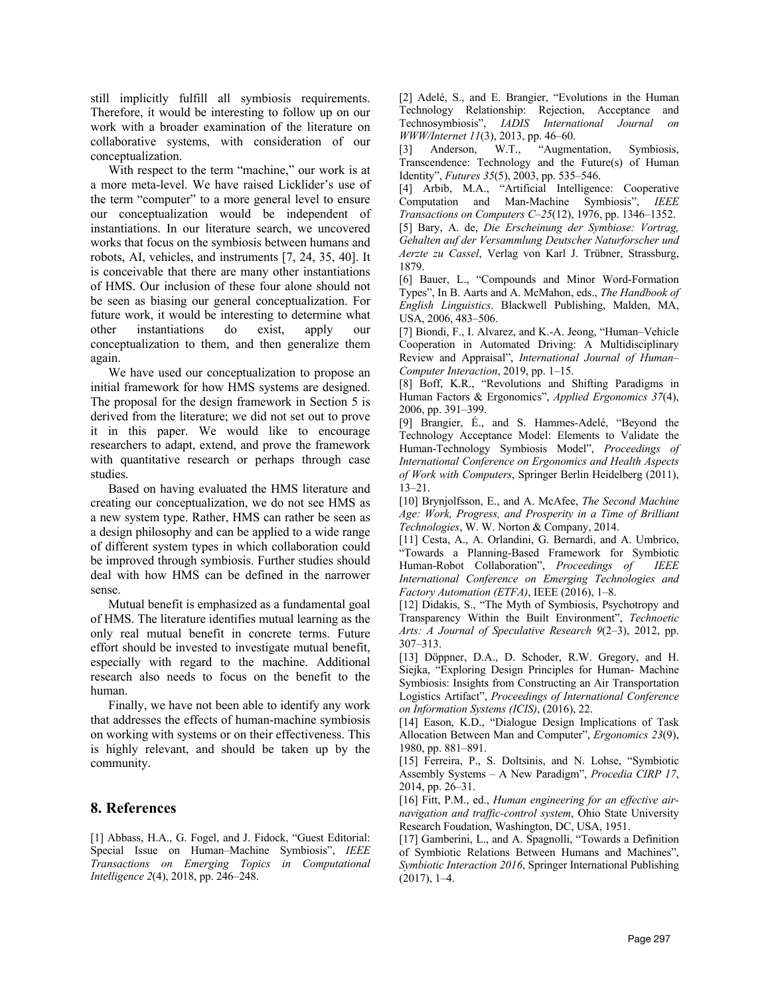still implicitly fulfill all symbiosis requirements. Therefore, it would be interesting to follow up on our work with a broader examination of the literature on collaborative systems, with consideration of our conceptualization.

With respect to the term "machine," our work is at a more meta-level. We have raised Licklider's use of the term "computer" to a more general level to ensure our conceptualization would be independent of instantiations. In our literature search, we uncovered works that focus on the symbiosis between humans and robots, AI, vehicles, and instruments [7, 24, 35, 40]. It is conceivable that there are many other instantiations of HMS. Our inclusion of these four alone should not be seen as biasing our general conceptualization. For future work, it would be interesting to determine what other instantiations do exist, apply our conceptualization to them, and then generalize them again.

We have used our conceptualization to propose an initial framework for how HMS systems are designed. The proposal for the design framework in Section 5 is derived from the literature; we did not set out to prove it in this paper. We would like to encourage researchers to adapt, extend, and prove the framework with quantitative research or perhaps through case studies.

Based on having evaluated the HMS literature and creating our conceptualization, we do not see HMS as a new system type. Rather, HMS can rather be seen as a design philosophy and can be applied to a wide range of different system types in which collaboration could be improved through symbiosis. Further studies should deal with how HMS can be defined in the narrower sense.

Mutual benefit is emphasized as a fundamental goal of HMS. The literature identifies mutual learning as the only real mutual benefit in concrete terms. Future effort should be invested to investigate mutual benefit, especially with regard to the machine. Additional research also needs to focus on the benefit to the human.

Finally, we have not been able to identify any work that addresses the effects of human-machine symbiosis on working with systems or on their effectiveness. This is highly relevant, and should be taken up by the community.

# **8. References**

[1] Abbass, H.A., G. Fogel, and J. Fidock, "Guest Editorial: Special Issue on Human–Machine Symbiosis", *IEEE Transactions on Emerging Topics in Computational Intelligence 2*(4), 2018, pp. 246–248.

[2] Adelé, S., and E. Brangier, "Evolutions in the Human Technology Relationship: Rejection, Acceptance and Technosymbiosis", *IADIS International Journal on WWW/Internet 11*(3), 2013, pp. 46–60.

[3] Anderson, W.T., "Augmentation, Symbiosis, Transcendence: Technology and the Future(s) of Human Identity", *Futures 35*(5), 2003, pp. 535–546.

[4] Arbib, M.A., "Artificial Intelligence: Cooperative Computation and Man-Machine Symbiosis", *IEEE Transactions on Computers C–25*(12), 1976, pp. 1346–1352.

[5] Bary, A. de, *Die Erscheinung der Symbiose: Vortrag, Gehalten auf der Versammlung Deutscher Naturforscher und Aerzte zu Cassel*, Verlag von Karl J. Trübner, Strassburg, 1879.

[6] Bauer, L., "Compounds and Minor Word-Formation Types", In B. Aarts and A. McMahon, eds., *The Handbook of English Linguistics*. Blackwell Publishing, Malden, MA, USA, 2006, 483–506.

[7] Biondi, F., I. Alvarez, and K.-A. Jeong, "Human–Vehicle Cooperation in Automated Driving: A Multidisciplinary Review and Appraisal", *International Journal of Human– Computer Interaction*, 2019, pp. 1–15.

[8] Boff, K.R., "Revolutions and Shifting Paradigms in Human Factors & Ergonomics", *Applied Ergonomics 37*(4), 2006, pp. 391–399.

[9] Brangier, É., and S. Hammes-Adelé, "Beyond the Technology Acceptance Model: Elements to Validate the Human-Technology Symbiosis Model", *Proceedings of International Conference on Ergonomics and Health Aspects of Work with Computers*, Springer Berlin Heidelberg (2011), 13–21.

[10] Brynjolfsson, E., and A. McAfee, *The Second Machine Age: Work, Progress, and Prosperity in a Time of Brilliant Technologies*, W. W. Norton & Company, 2014.

[11] Cesta, A., A. Orlandini, G. Bernardi, and A. Umbrico, "Towards a Planning-Based Framework for Symbiotic Human-Robot Collaboration", *Proceedings of IEEE International Conference on Emerging Technologies and Factory Automation (ETFA)*, IEEE (2016), 1–8.

[12] Didakis, S., "The Myth of Symbiosis, Psychotropy and Transparency Within the Built Environment", *Technoetic Arts: A Journal of Speculative Research 9*(2–3), 2012, pp. 307–313.

[13] Döppner, D.A., D. Schoder, R.W. Gregory, and H. Siejka, "Exploring Design Principles for Human- Machine Symbiosis: Insights from Constructing an Air Transportation Logistics Artifact", *Proceedings of International Conference on Information Systems (ICIS)*, (2016), 22.

[14] Eason, K.D., "Dialogue Design Implications of Task Allocation Between Man and Computer", *Ergonomics 23*(9), 1980, pp. 881–891.

[15] Ferreira, P., S. Doltsinis, and N. Lohse, "Symbiotic Assembly Systems – A New Paradigm", *Procedia CIRP 17*, 2014, pp. 26–31.

[16] Fitt, P.M., ed., *Human engineering for an effective airnavigation and traffic-control system*, Ohio State University Research Foudation, Washington, DC, USA, 1951.

[17] Gamberini, L., and A. Spagnolli, "Towards a Definition of Symbiotic Relations Between Humans and Machines", *Symbiotic Interaction 2016*, Springer International Publishing  $(2017), 1-4.$